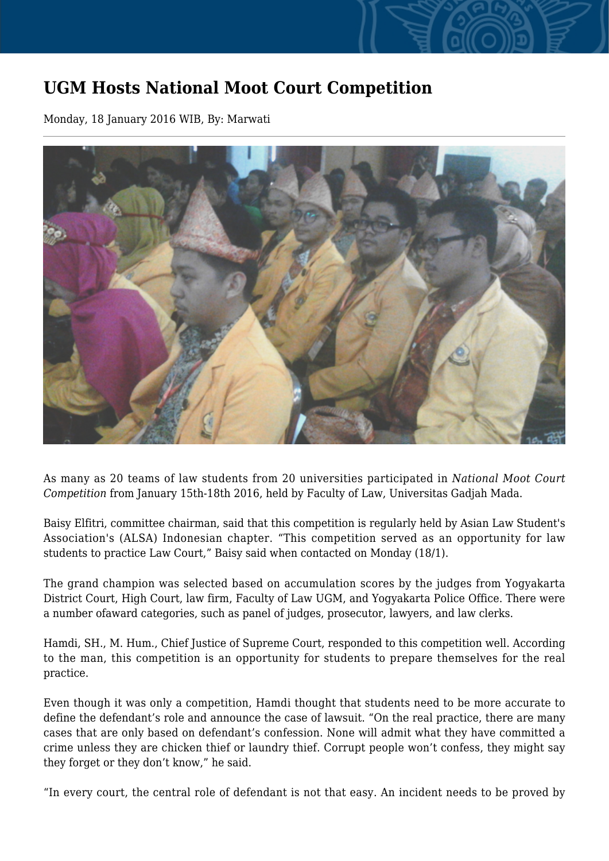## **UGM Hosts National Moot Court Competition**

Monday, 18 January 2016 WIB, By: Marwati



As many as 20 teams of law students from 20 universities participated in *National Moot Court Competition* from January 15th-18th 2016, held by Faculty of Law, Universitas Gadjah Mada.

Baisy Elfitri, committee chairman, said that this competition is regularly held by Asian Law Student's Association's (ALSA) Indonesian chapter. "This competition served as an opportunity for law students to practice Law Court," Baisy said when contacted on Monday (18/1).

The grand champion was selected based on accumulation scores by the judges from Yogyakarta District Court, High Court, law firm, Faculty of Law UGM, and Yogyakarta Police Office. There were a number ofaward categories, such as panel of judges, prosecutor, lawyers, and law clerks.

Hamdi, SH., M. Hum., Chief Justice of Supreme Court, responded to this competition well. According to the man, this competition is an opportunity for students to prepare themselves for the real practice.

Even though it was only a competition, Hamdi thought that students need to be more accurate to define the defendant's role and announce the case of lawsuit. "On the real practice, there are many cases that are only based on defendant's confession. None will admit what they have committed a crime unless they are chicken thief or laundry thief. Corrupt people won't confess, they might say they forget or they don't know," he said.

"In every court, the central role of defendant is not that easy. An incident needs to be proved by